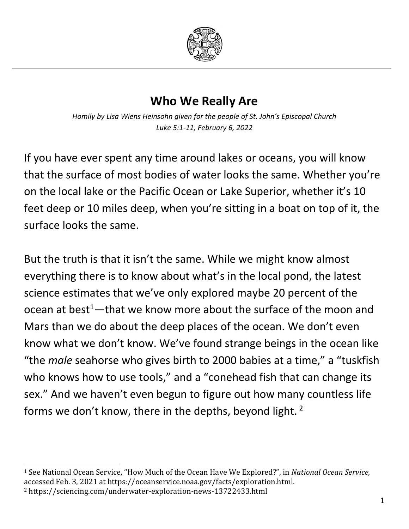

## **Who We Really Are**

*Homily by Lisa Wiens Heinsohn given for the people of St. John's Episcopal Church Luke 5:1-11, February 6, 2022*

If you have ever spent any time around lakes or oceans, you will know that the surface of most bodies of water looks the same. Whether you're on the local lake or the Pacific Ocean or Lake Superior, whether it's 10 feet deep or 10 miles deep, when you're sitting in a boat on top of it, the surface looks the same.

But the truth is that it isn't the same. While we might know almost everything there is to know about what's in the local pond, the latest science estimates that we've only explored maybe 20 percent of the ocean at best<sup>[1](#page-0-0)</sup>—that we know more about the surface of the moon and Mars than we do about the deep places of the ocean. We don't even know what we don't know. We've found strange beings in the ocean like "the *male* seahorse who gives birth to 2000 babies at a time," a "tuskfish who knows how to use tools," and a "conehead fish that can change its sex." And we haven't even begun to figure out how many countless life forms we don't know, there in the depths, beyond light. [2](#page-0-1)

<span id="page-0-1"></span><span id="page-0-0"></span> <sup>1</sup> See National Ocean Service, "How Much of the Ocean Have We Explored?", in *National Ocean Service,*  accessed Feb. 3, 2021 at https://oceanservice.noaa.gov/facts/exploration.html. <sup>2</sup> https://sciencing.com/underwater-exploration-news-13722433.html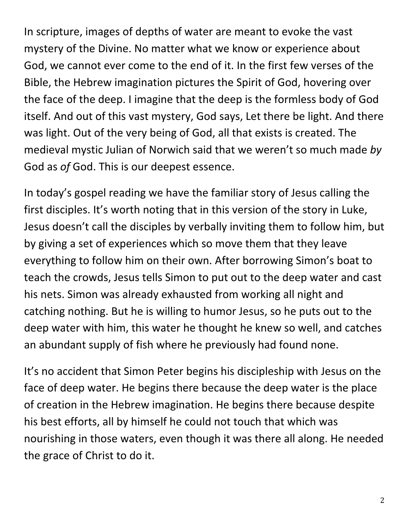In scripture, images of depths of water are meant to evoke the vast mystery of the Divine. No matter what we know or experience about God, we cannot ever come to the end of it. In the first few verses of the Bible, the Hebrew imagination pictures the Spirit of God, hovering over the face of the deep. I imagine that the deep is the formless body of God itself. And out of this vast mystery, God says, Let there be light. And there was light. Out of the very being of God, all that exists is created. The medieval mystic Julian of Norwich said that we weren't so much made *by* God as *of* God. This is our deepest essence.

In today's gospel reading we have the familiar story of Jesus calling the first disciples. It's worth noting that in this version of the story in Luke, Jesus doesn't call the disciples by verbally inviting them to follow him, but by giving a set of experiences which so move them that they leave everything to follow him on their own. After borrowing Simon's boat to teach the crowds, Jesus tells Simon to put out to the deep water and cast his nets. Simon was already exhausted from working all night and catching nothing. But he is willing to humor Jesus, so he puts out to the deep water with him, this water he thought he knew so well, and catches an abundant supply of fish where he previously had found none.

It's no accident that Simon Peter begins his discipleship with Jesus on the face of deep water. He begins there because the deep water is the place of creation in the Hebrew imagination. He begins there because despite his best efforts, all by himself he could not touch that which was nourishing in those waters, even though it was there all along. He needed the grace of Christ to do it.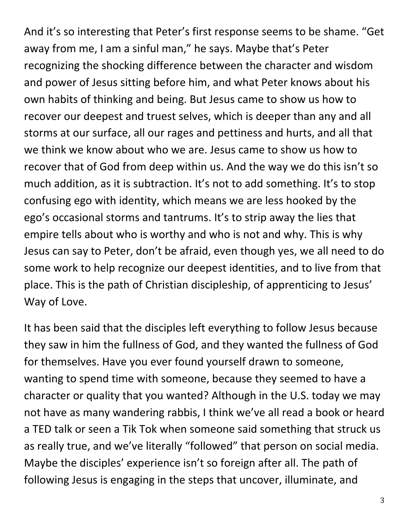And it's so interesting that Peter's first response seems to be shame. "Get away from me, I am a sinful man," he says. Maybe that's Peter recognizing the shocking difference between the character and wisdom and power of Jesus sitting before him, and what Peter knows about his own habits of thinking and being. But Jesus came to show us how to recover our deepest and truest selves, which is deeper than any and all storms at our surface, all our rages and pettiness and hurts, and all that we think we know about who we are. Jesus came to show us how to recover that of God from deep within us. And the way we do this isn't so much addition, as it is subtraction. It's not to add something. It's to stop confusing ego with identity, which means we are less hooked by the ego's occasional storms and tantrums. It's to strip away the lies that empire tells about who is worthy and who is not and why. This is why Jesus can say to Peter, don't be afraid, even though yes, we all need to do some work to help recognize our deepest identities, and to live from that place. This is the path of Christian discipleship, of apprenticing to Jesus' Way of Love.

It has been said that the disciples left everything to follow Jesus because they saw in him the fullness of God, and they wanted the fullness of God for themselves. Have you ever found yourself drawn to someone, wanting to spend time with someone, because they seemed to have a character or quality that you wanted? Although in the U.S. today we may not have as many wandering rabbis, I think we've all read a book or heard a TED talk or seen a Tik Tok when someone said something that struck us as really true, and we've literally "followed" that person on social media. Maybe the disciples' experience isn't so foreign after all. The path of following Jesus is engaging in the steps that uncover, illuminate, and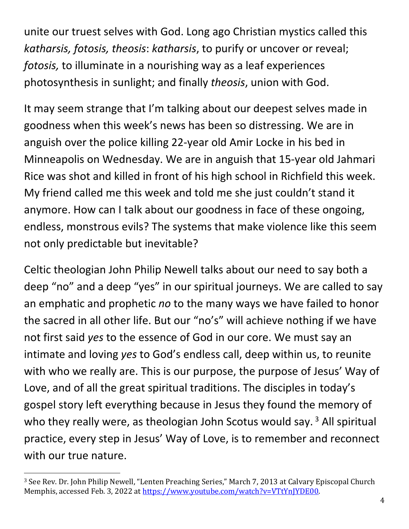unite our truest selves with God. Long ago Christian mystics called this *katharsis, fotosis, theosis*: *katharsis*, to purify or uncover or reveal; *fotosis,* to illuminate in a nourishing way as a leaf experiences photosynthesis in sunlight; and finally *theosis*, union with God.

It may seem strange that I'm talking about our deepest selves made in goodness when this week's news has been so distressing. We are in anguish over the police killing 22-year old Amir Locke in his bed in Minneapolis on Wednesday. We are in anguish that 15-year old Jahmari Rice was shot and killed in front of his high school in Richfield this week. My friend called me this week and told me she just couldn't stand it anymore. How can I talk about our goodness in face of these ongoing, endless, monstrous evils? The systems that make violence like this seem not only predictable but inevitable?

Celtic theologian John Philip Newell talks about our need to say both a deep "no" and a deep "yes" in our spiritual journeys. We are called to say an emphatic and prophetic *no* to the many ways we have failed to honor the sacred in all other life. But our "no's" will achieve nothing if we have not first said *yes* to the essence of God in our core. We must say an intimate and loving *yes* to God's endless call, deep within us, to reunite with who we really are. This is our purpose, the purpose of Jesus' Way of Love, and of all the great spiritual traditions. The disciples in today's gospel story left everything because in Jesus they found the memory of who they really were, as theologian John Scotus would say.  $3$  All spiritual practice, every step in Jesus' Way of Love, is to remember and reconnect with our true nature.

<span id="page-3-0"></span> <sup>3</sup> See Rev. Dr. John Philip Newell, "Lenten Preaching Series," March 7, 2013 at Calvary Episcopal Church Memphis, accessed Feb. 3, 2022 at [https://www.youtube.com/watch?v=VTtYnJYDE00.](https://www.youtube.com/watch?v=VTtYnJYDE00)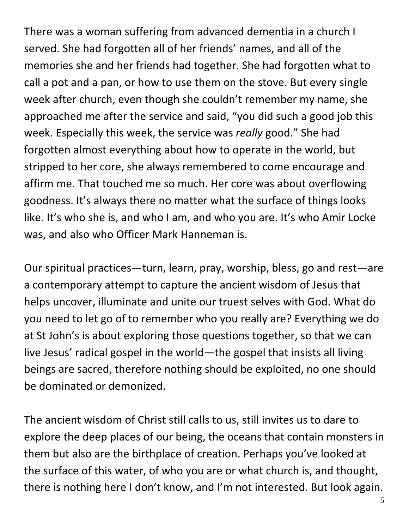There was a woman suffering from advanced dementia in a church I served. She had forgotten all of her friends' names, and all of the memories she and her friends had together. She had forgotten what to call a pot and a pan, or how to use them on the stove. But every single week after church, even though she couldn't remember my name, she approached me after the service and said, "you did such a good job this week. Especially this week, the service was *really* good." She had forgotten almost everything about how to operate in the world, but stripped to her core, she always remembered to come encourage and affirm me. That touched me so much. Her core was about overflowing goodness. It's always there no matter what the surface of things looks like. It's who she is, and who I am, and who you are. It's who Amir Locke was, and also who Officer Mark Hanneman is.

Our spiritual practices—turn, learn, pray, worship, bless, go and rest—are a contemporary attempt to capture the ancient wisdom of Jesus that helps uncover, illuminate and unite our truest selves with God. What do you need to let go of to remember who you really are? Everything we do at St John's is about exploring those questions together, so that we can live Jesus' radical gospel in the world—the gospel that insists all living beings are sacred, therefore nothing should be exploited, no one should be dominated or demonized.

The ancient wisdom of Christ still calls to us, still invites us to dare to explore the deep places of our being, the oceans that contain monsters in them but also are the birthplace of creation. Perhaps you've looked at the surface of this water, of who you are or what church is, and thought, there is nothing here I don't know, and I'm not interested. But look again.